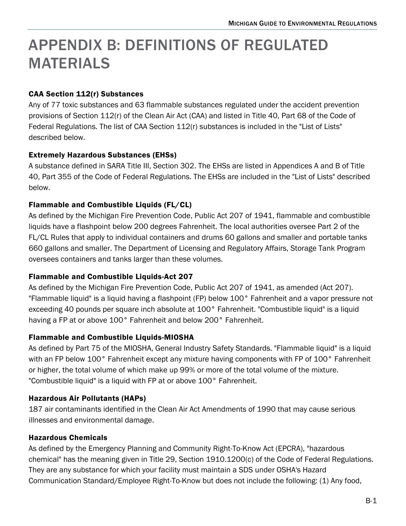# APPENDIX B: DEFINITIONS OF REGULATED MATERIALS

## CAA Section 112(r) Substances

Any of 77 toxic substances and 63 flammable substances regulated under the accident prevention provisions of Section 112(r) of the Clean Air Act (CAA) and listed in Title 40, Part 68 of the Code of Federal Regulations. The list of CAA Section 112(r) substances is included in the "List of Lists" described below.

## Extremely Hazardous Substances (EHSs)

A substance defined in SARA Title III, Section 302. The EHSs are listed in Appendices A and B of Title 40, Part 355 of the Code of Federal Regulations. The EHSs are included in the "List of Lists" described below.

## Flammable and Combustible Liquids (FL/CL)

As defined by the Michigan Fire Prevention Code, Public Act 207 of 1941, flammable and combustible liquids have a flashpoint below 200 degrees Fahrenheit. The local authorities oversee Part 2 of the FL/CL Rules that apply to individual containers and drums 60 gallons and smaller and portable tanks 660 gallons and smaller. The Department of Licensing and Regulatory Affairs, Storage Tank Program oversees containers and tanks larger than these volumes.

## Flammable and Combustible Liquids-Act 207

As defined by the Michigan Fire Prevention Code, Public Act 207 of 1941, as amended (Act 207). "Flammable liquid" is a liquid having a flashpoint (FP) below 100° Fahrenheit and a vapor pressure not exceeding 40 pounds per square inch absolute at 100° Fahrenheit. "Combustible liquid" is a liquid having a FP at or above 100° Fahrenheit and below 200° Fahrenheit.

## Flammable and Combustible Liquids-MIOSHA

As defined by Part 75 of the MIOSHA, General Industry Safety Standards. "Flammable liquid" is a liquid with an FP below 100° Fahrenheit except any mixture having components with FP of 100° Fahrenheit or higher, the total volume of which make up 99% or more of the total volume of the mixture. "Combustible liquid" is a liquid with FP at or above 100° Fahrenheit.

# Hazardous Air Pollutants (HAPs)

187 air contaminants identified in the Clean Air Act Amendments of 1990 that may cause serious illnesses and environmental damage.

# Hazardous Chemicals

As defined by the Emergency Planning and Community Right-To-Know Act (EPCRA), "hazardous chemical" has the meaning given in Title 29, Section 1910.1200(c) of the Code of Federal Regulations. They are any substance for which your facility must maintain a SDS under OSHA's Hazard Communication Standard/Employee Right-To-Know but does not include the following: (1) Any food,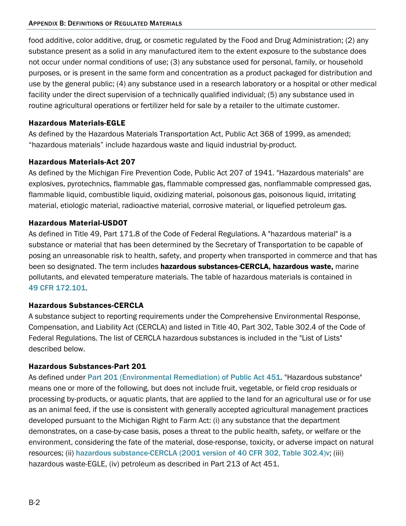food additive, color additive, drug, or cosmetic regulated by the Food and Drug Administration; (2) any substance present as a solid in any manufactured item to the extent exposure to the substance does not occur under normal conditions of use; (3) any substance used for personal, family, or household purposes, or is present in the same form and concentration as a product packaged for distribution and use by the general public; (4) any substance used in a research laboratory or a hospital or other medical facility under the direct supervision of a technically qualified individual; (5) any substance used in routine agricultural operations or fertilizer held for sale by a retailer to the ultimate customer.

## Hazardous Materials-EGLE

As defined by the Hazardous Materials Transportation Act, Public Act 368 of 1999, as amended; "hazardous materials" include hazardous waste and liquid industrial by-product.

## Hazardous Materials-Act 207

As defined by the Michigan Fire Prevention Code, Public Act 207 of 1941. "Hazardous materials" are explosives, pyrotechnics, flammable gas, flammable compressed gas, nonflammable compressed gas, flammable liquid, combustible liquid, oxidizing material, poisonous gas, poisonous liquid, irritating material, etiologic material, radioactive material, corrosive material, or liquefied petroleum gas.

## Hazardous Material-USDOT

As defined in Title 49, Part 171.8 of the Code of Federal Regulations. A "hazardous material" is a substance or material that has been determined by the Secretary of Transportation to be capable of posing an unreasonable risk to health, safety, and property when transported in commerce and that has been so designated. The term includes hazardous substances-CERCLA, hazardous waste, marine pollutants, and elevated temperature materials. The table of hazardous materials is contained in [49](https://www.ecfr.gov/current/title-49/subtitle-B/chapter-I/subchapter-C/part-172/subpart-B/section-172.101) [CFR 172.101](https://www.ecfr.gov/current/title-49/subtitle-B/chapter-I/subchapter-C/part-172/subpart-B/section-172.101).

## Hazardous Substances-CERCLA

A substance subject to reporting requirements under the Comprehensive Environmental Response, Compensation, and Liability Act (CERCLA) and listed in Title 40, Part 302, Table 302.4 of the Code of Federal Regulations. The list of CERCLA hazardous substances is included in the "List of Lists" described below.

## Hazardous Substances-Part 201

As defined under[Part 201 \(Environmental Remediation\) of Public Act 451](http://www.legislature.mi.gov/(S(g2ldnkdzmaojp2kkmta3edco))/mileg.aspx?page=getObject&objectName=mcl-324-20101). "Hazardous substance" means one or more of the following, but does not include fruit, vegetable, or field crop residuals or processing by-products, or aquatic plants, that are applied to the land for an agricultural use or for use as an animal feed, if the use is consistent with generally accepted agricultural management practices developed pursuant to the Michigan Right to Farm Act: (i) any substance that the department demonstrates, on a case-by-case basis, poses a threat to the public health, safety, or welfare or the environment, considering the fate of the material, dose-response, toxicity, or adverse impact on natural resources; (ii) [hazardous substance-CERCLA \(2001 version of 40 CFR 302, Table 302.4\)v](https://www.govinfo.gov/content/pkg/CFR-2012-title40-vol29/pdf/CFR-2012-title40-vol29-sec302-4.pdf); (iii) hazardous waste-EGLE, (iv) petroleum as described in Part 213 of Act 451.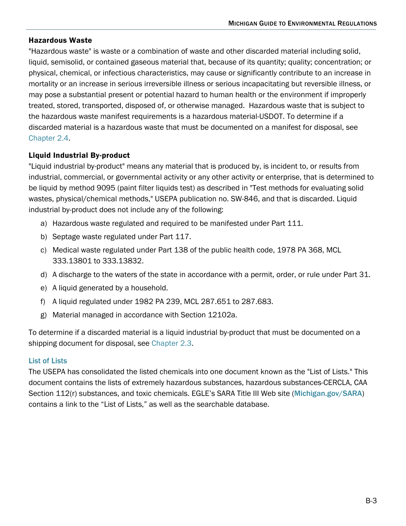#### Hazardous Waste

"Hazardous waste" is waste or a combination of waste and other discarded material including solid, liquid, semisolid, or contained gaseous material that, because of its quantity; quality; concentration; or physical, chemical, or infectious characteristics, may cause or significantly contribute to an increase in mortality or an increase in serious irreversible illness or serious incapacitating but reversible illness, or may pose a substantial present or potential hazard to human health or the environment if improperly treated, stored, transported, disposed of, or otherwise managed. Hazardous waste that is subject to the hazardous waste manifest requirements is a hazardous material-USDOT. To determine if a discarded material is a hazardous waste that must be documented on a manifest for disposal, see [Chapter 2.4.](https://www.michigan.gov/egle/-/media/Project/Websites/egle/Documents/Regulatory-Assistance/Guidebooks/MI-Guide-to-Environmental-Regulations/MI-Guide-Environmental-Regulations-Ch2-Waste.pdf#page=36)

## Liquid Industrial By-product

"Liquid industrial by-product" means any material that is produced by, is incident to, or results from industrial, commercial, or governmental activity or any other activity or enterprise, that is determined to be liquid by method 9095 (paint filter liquids test) as described in "Test methods for evaluating solid wastes, physical/chemical methods," USEPA publication no. SW-846, and that is discarded. Liquid industrial by-product does not include any of the following:

- a) Hazardous waste regulated and required to be manifested under Part 111.
- b) Septage waste regulated under Part 117.
- c) Medical waste regulated under Part 138 of the public health code, 1978 PA 368, MCL 333.13801 to 333.13832.
- d) A discharge to the waters of the state in accordance with a permit, order, or rule under Part 31.
- e) A liquid generated by a household.
- f) A liquid regulated under 1982 PA 239, MCL 287.651 to 287.683.
- g) Material managed in accordance with Section 12102a.

To determine if a discarded material is a liquid industrial by-product that must be documented on a shipping document for disposal, se[e Chapter 2.3.](https://www.michigan.gov/egle/-/media/Project/Websites/egle/Documents/Regulatory-Assistance/Guidebooks/MI-Guide-to-Environmental-Regulations/MI-Guide-Environmental-Regulations-Ch2-Waste.pdf#page=24)

#### [List of Lists](https://www.epa.gov/epcra/consolidated-list-lists-under-epcracerclacaa-ss112r-august-2020-version)

The USEPA has consolidated the listed chemicals into one document known as the "List of Lists." This document contains the lists of extremely hazardous substances, hazardous substances-CERCLA, CAA Section 112(r) substances, and toxic chemicals. [EGLE's SARA Title III Web site](https://www.epa.gov/epcra/consolidated-list-lists-under-epcracerclacaa-ss112r-august-2020-version) ([Michigan.gov/SARA](http://www.michigan.gov/SARA)) contains a link to the "List of Lists," as well as the searchable database.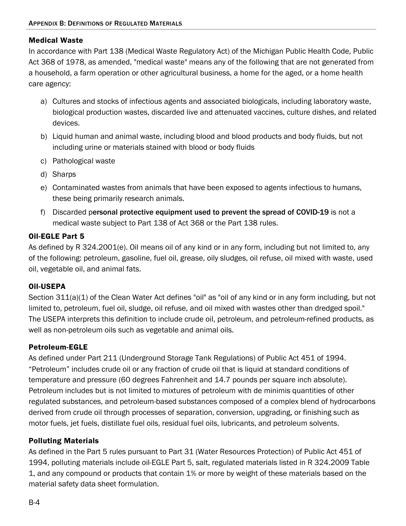## Medical Waste

In accordance with Part 138 (Medical Waste Regulatory Act) of the Michigan Public Health Code, Public Act 368 of 1978, as amended, "medical waste" means any of the following that are not generated from a household, a farm operation or other agricultural business, a home for the aged, or a home health care agency:

- a) Cultures and stocks of infectious agents and associated biologicals, including laboratory waste, biological production wastes, discarded live and attenuated vaccines, culture dishes, and related devices.
- b) Liquid human and animal waste, including blood and blood products and body fluids, but not including urine or materials stained with blood or body fluids
- c) Pathological waste
- d) Sharps
- e) Contaminated wastes from animals that have been exposed to agents infectious to humans, these being primarily research animals.
- f) Discarded p[ersonal protective equipment used to prevent the spread of COVID-19](https://www.michigan.gov/documents/egle/egle-tou-mmd-PPE-Disposal_691955_7.pdf) is not a medical waste subject to Part 138 of Act 368 or the Part 138 rules.

## Oil-EGLE Part 5

As defined by R 324.2001(e). Oil means oil of any kind or in any form, including but not limited to, any of the following: petroleum, gasoline, fuel oil, grease, oily sludges, oil refuse, oil mixed with waste, used oil, vegetable oil, and animal fats.

## Oil-USEPA

Section 311(a)(1) of the Clean Water Act defines "oil" as "oil of any kind or in any form including, but not limited to, petroleum, fuel oil, sludge, oil refuse, and oil mixed with wastes other than dredged spoil." The USEPA interprets this definition to include crude oil, petroleum, and petroleum-refined products, as well as non-petroleum oils such as vegetable and animal oils.

## Petroleum-EGLE

As defined under Part 211 (Underground Storage Tank Regulations) of Public Act 451 of 1994. "Petroleum" includes crude oil or any fraction of crude oil that is liquid at standard conditions of temperature and pressure (60 degrees Fahrenheit and 14.7 pounds per square inch absolute). Petroleum includes but is not limited to mixtures of petroleum with de minimis quantities of other regulated substances, and petroleum-based substances composed of a complex blend of hydrocarbons derived from crude oil through processes of separation, conversion, upgrading, or finishing such as motor fuels, jet fuels, distillate fuel oils, residual fuel oils, lubricants, and petroleum solvents.

#### Polluting Materials

As defined in the Part 5 rules pursuant to Part 31 (Water Resources Protection) of Public Act 451 of 1994, polluting materials include oil-EGLE Part 5, salt, regulated materials listed in R 324.2009 Table 1, and any compound or products that contain 1% or more by weight of these materials based on the material safety data sheet formulation.